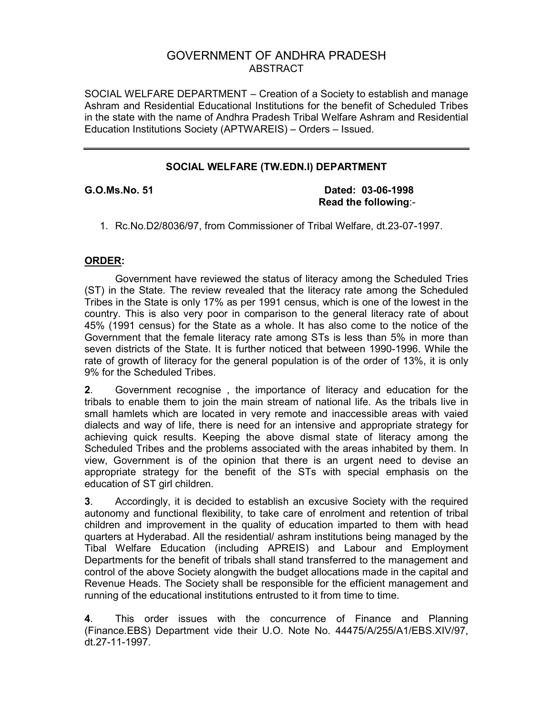# GOVERNMENT OF ANDHRA PRADESH ABSTRACT

SOCIAL WELFARE DEPARTMENT – Creation of a Society to establish and manage Ashram and Residential Educational Institutions for the benefit of Scheduled Tribes in the state with the name of Andhra Pradesh Tribal Welfare Ashram and Residential Education Institutions Society (APTWAREIS) – Orders – Issued.

## **SOCIAL WELFARE (TW.EDN.I) DEPARTMENT**

**G.O.Ms.No. 51 Dated: 03-06-1998 Read the following**:-

1. Rc.No.D2/8036/97, from Commissioner of Tribal Welfare, dt.23-07-1997.

## **ORDER:**

 Government have reviewed the status of literacy among the Scheduled Tries (ST) in the State. The review revealed that the literacy rate among the Scheduled Tribes in the State is only 17% as per 1991 census, which is one of the lowest in the country. This is also very poor in comparison to the general literacy rate of about 45% (1991 census) for the State as a whole. It has also come to the notice of the Government that the female literacy rate among STs is less than 5% in more than seven districts of the State. It is further noticed that between 1990-1996. While the rate of growth of literacy for the general population is of the order of 13%, it is only 9% for the Scheduled Tribes.

**2**. Government recognise , the importance of literacy and education for the tribals to enable them to join the main stream of national life. As the tribals live in small hamlets which are located in very remote and inaccessible areas with vaied dialects and way of life, there is need for an intensive and appropriate strategy for achieving quick results. Keeping the above dismal state of literacy among the Scheduled Tribes and the problems associated with the areas inhabited by them. In view, Government is of the opinion that there is an urgent need to devise an appropriate strategy for the benefit of the STs with special emphasis on the education of ST girl children.

**3**. Accordingly, it is decided to establish an excusive Society with the required autonomy and functional flexibility, to take care of enrolment and retention of tribal children and improvement in the quality of education imparted to them with head quarters at Hyderabad. All the residential/ ashram institutions being managed by the Tibal Welfare Education (including APREIS) and Labour and Employment Departments for the benefit of tribals shall stand transferred to the management and control of the above Society alongwith the budget allocations made in the capital and Revenue Heads. The Society shall be responsible for the efficient management and running of the educational institutions entrusted to it from time to time.

**4**. This order issues with the concurrence of Finance and Planning (Finance.EBS) Department vide their U.O. Note No. 44475/A/255/A1/EBS.XIV/97, dt.27-11-1997.